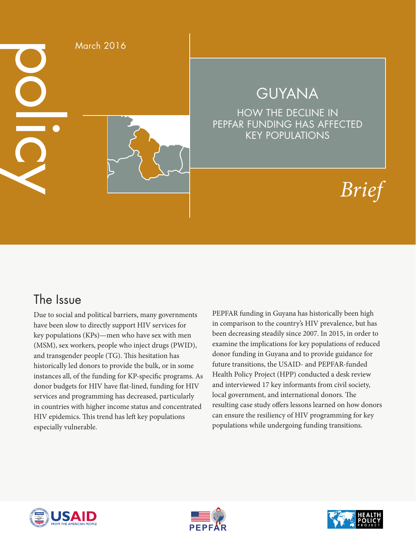

# GUYANA

HOW THE DECLINE IN PEPFAR FUNDING HAS AFFECTED KEY POPULATIONS

# *Brief*

### The Issue

Due to social and political barriers, many governments have been slow to directly support HIV services for key populations (KPs)—men who have sex with men (MSM), sex workers, people who inject drugs (PWID), and transgender people (TG). This hesitation has historically led donors to provide the bulk, or in some instances all, of the funding for KP-specific programs. As donor budgets for HIV have flat-lined, funding for HIV services and programming has decreased, particularly in countries with higher income status and concentrated HIV epidemics. This trend has left key populations especially vulnerable.

PEPFAR funding in Guyana has historically been high in comparison to the country's HIV prevalence, but has been decreasing steadily since 2007. In 2015, in order to examine the implications for key populations of reduced donor funding in Guyana and to provide guidance for future transitions, the USAID- and PEPFAR-funded Health Policy Project (HPP) conducted a desk review and interviewed 17 key informants from civil society, local government, and international donors. The resulting case study offers lessons learned on how donors can ensure the resiliency of HIV programming for key populations while undergoing funding transitions.





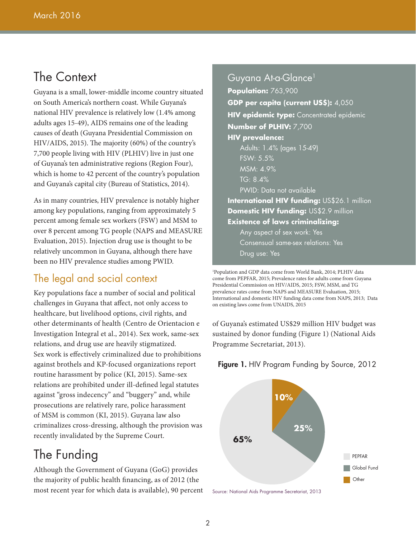### The Context

Guyana is a small, lower-middle income country situated on South America's northern coast. While Guyana's national HIV prevalence is relatively low (1.4% among adults ages 15-49), AIDS remains one of the leading causes of death (Guyana Presidential Commission on HIV/AIDS, 2015). The majority (60%) of the country's 7,700 people living with HIV (PLHIV) live in just one of Guyana's ten administrative regions (Region Four), which is home to 42 percent of the country's population and Guyana's capital city (Bureau of Statistics, 2014).

As in many countries, HIV prevalence is notably higher among key populations, ranging from approximately 5 percent among female sex workers (FSW) and MSM to over 8 percent among TG people (NAPS and MEASURE Evaluation, 2015). Injection drug use is thought to be relatively uncommon in Guyana, although there have been no HIV prevalence studies among PWID.

#### The legal and social context

Key populations face a number of social and political challenges in Guyana that affect, not only access to healthcare, but livelihood options, civil rights, and other determinants of health (Centro de Orientacion e Investigation Integral et al., 2014). Sex work, same-sex relations, and drug use are heavily stigmatized. Sex work is effectively criminalized due to prohibitions against brothels and KP-focused organizations report routine harassment by police (KI, 2015). Same-sex relations are prohibited under ill-defined legal statutes against "gross indecency" and "buggery" and, while prosecutions are relatively rare, police harassment of MSM is common (KI, 2015). Guyana law also criminalizes cross-dressing, although the provision was recently invalidated by the Supreme Court.

# The Funding

Although the Government of Guyana (GoG) provides the majority of public health financing, as of 2012 (the most recent year for which data is available), 90 percent

Guyana At-a-Glance<sup>1</sup> **Population:** 763,900 **GDP per capita (current US\$):** 4,050 **HIV epidemic type:** Concentrated epidemic **Number of PLHIV:** 7,700 **HIV prevalence:** Adults: 1.4% (ages 15-49) FSW: 5.5% MSM: 4.9% TG: 8.4% PWID: Data not available **International HIV funding:** US\$26.1 million **Domestic HIV funding:** US\$2.9 million **Existence of laws criminalizing:** Any aspect of sex work: Yes Consensual same-sex relations: Yes

Drug use: Yes

1 Population and GDP data come from World Bank, 2014; PLHIV data come from PEPFAR, 2015; Prevalence rates for adults come from Guyana Presidential Commission on HIV/AIDS, 2015; FSW, MSM, and TG prevalence rates come from NAPS and MEASURE Evaluation, 2015; International and domestic HIV funding data come from NAPS, 2013; Data on existing laws come from UNAIDS, 2015

of Guyana's estimated US\$29 million HIV budget was sustained by donor funding (Figure 1) (National Aids Programme Secretariat, 2013).

#### **Figure 1.** HIV Program Funding by Source, 2012



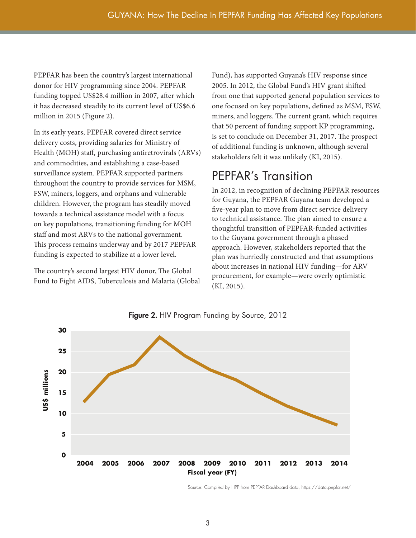PEPFAR has been the country's largest international donor for HIV programming since 2004. PEPFAR funding topped US\$28.4 million in 2007, after which it has decreased steadily to its current level of US\$6.6 million in 2015 (Figure 2).

In its early years, PEPFAR covered direct service delivery costs, providing salaries for Ministry of Health (MOH) staff, purchasing antiretrovirals (ARVs) and commodities, and establishing a case-based surveillance system. PEPFAR supported partners throughout the country to provide services for MSM, FSW, miners, loggers, and orphans and vulnerable children. However, the program has steadily moved towards a technical assistance model with a focus on key populations, transitioning funding for MOH staff and most ARVs to the national government. This process remains underway and by 2017 PEPFAR funding is expected to stabilize at a lower level.

The country's second largest HIV donor, The Global Fund to Fight AIDS, Tuberculosis and Malaria (Global Fund), has supported Guyana's HIV response since 2005. In 2012, the Global Fund's HIV grant shifted from one that supported general population services to one focused on key populations, defined as MSM, FSW, miners, and loggers. The current grant, which requires that 50 percent of funding support KP programming, is set to conclude on December 31, 2017. The prospect of additional funding is unknown, although several stakeholders felt it was unlikely (KI, 2015).

## PEPFAR's Transition

In 2012, in recognition of declining PEPFAR resources for Guyana, the PEPFAR Guyana team developed a five-year plan to move from direct service delivery to technical assistance. The plan aimed to ensure a thoughtful transition of PEPFAR-funded activities to the Guyana government through a phased approach. However, stakeholders reported that the plan was hurriedly constructed and that assumptions about increases in national HIV funding—for ARV procurement, for example—were overly optimistic (KI, 2015).



**Figure 2.** HIV Program Funding by Source, 2012

Source: Compiled by HPP from PEPFAR Dashboard data, https://data.pepfar.net/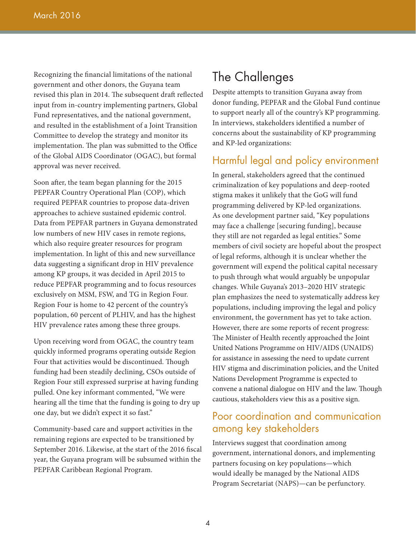Recognizing the financial limitations of the national government and other donors, the Guyana team revised this plan in 2014. The subsequent draft reflected input from in-country implementing partners, Global Fund representatives, and the national government, and resulted in the establishment of a Joint Transition Committee to develop the strategy and monitor its implementation. The plan was submitted to the Office of the Global AIDS Coordinator (OGAC), but formal approval was never received.

Soon after, the team began planning for the 2015 PEPFAR Country Operational Plan (COP), which required PEPFAR countries to propose data-driven approaches to achieve sustained epidemic control. Data from PEPFAR partners in Guyana demonstrated low numbers of new HIV cases in remote regions, which also require greater resources for program implementation. In light of this and new surveillance data suggesting a significant drop in HIV prevalence among KP groups, it was decided in April 2015 to reduce PEPFAR programming and to focus resources exclusively on MSM, FSW, and TG in Region Four. Region Four is home to 42 percent of the country's population, 60 percent of PLHIV, and has the highest HIV prevalence rates among these three groups.

Upon receiving word from OGAC, the country team quickly informed programs operating outside Region Four that activities would be discontinued. Though funding had been steadily declining, CSOs outside of Region Four still expressed surprise at having funding pulled. One key informant commented, "We were hearing all the time that the funding is going to dry up one day, but we didn't expect it so fast."

Community-based care and support activities in the remaining regions are expected to be transitioned by September 2016. Likewise, at the start of the 2016 fiscal year, the Guyana program will be subsumed within the PEPFAR Caribbean Regional Program.

### The Challenges

Despite attempts to transition Guyana away from donor funding, PEPFAR and the Global Fund continue to support nearly all of the country's KP programming. In interviews, stakeholders identified a number of concerns about the sustainability of KP programming and KP-led organizations:

#### Harmful legal and policy environment

In general, stakeholders agreed that the continued criminalization of key populations and deep-rooted stigma makes it unlikely that the GoG will fund programming delivered by KP-led organizations. As one development partner said, "Key populations may face a challenge [securing funding], because they still are not regarded as legal entities." Some members of civil society are hopeful about the prospect of legal reforms, although it is unclear whether the government will expend the political capital necessary to push through what would arguably be unpopular changes. While Guyana's 2013–2020 HIV strategic plan emphasizes the need to systematically address key populations, including improving the legal and policy environment, the government has yet to take action. However, there are some reports of recent progress: The Minister of Health recently approached the Joint United Nations Programme on HIV/AIDS (UNAIDS) for assistance in assessing the need to update current HIV stigma and discrimination policies, and the United Nations Development Programme is expected to convene a national dialogue on HIV and the law. Though cautious, stakeholders view this as a positive sign.

#### Poor coordination and communication among key stakeholders

Interviews suggest that coordination among government, international donors, and implementing partners focusing on key populations—which would ideally be managed by the National AIDS Program Secretariat (NAPS)—can be perfunctory.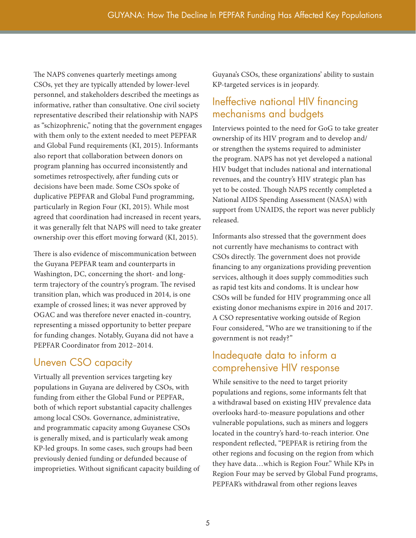The NAPS convenes quarterly meetings among CSOs, yet they are typically attended by lower-level personnel, and stakeholders described the meetings as informative, rather than consultative. One civil society representative described their relationship with NAPS as "schizophrenic," noting that the government engages with them only to the extent needed to meet PEPFAR and Global Fund requirements (KI, 2015). Informants also report that collaboration between donors on program planning has occurred inconsistently and sometimes retrospectively, after funding cuts or decisions have been made. Some CSOs spoke of duplicative PEPFAR and Global Fund programming, particularly in Region Four (KI, 2015). While most agreed that coordination had increased in recent years, it was generally felt that NAPS will need to take greater ownership over this effort moving forward (KI, 2015).

There is also evidence of miscommunication between the Guyana PEPFAR team and counterparts in Washington, DC, concerning the short- and longterm trajectory of the country's program. The revised transition plan, which was produced in 2014, is one example of crossed lines; it was never approved by OGAC and was therefore never enacted in-country, representing a missed opportunity to better prepare for funding changes. Notably, Guyana did not have a PEPFAR Coordinator from 2012–2014.

### Uneven CSO capacity

Virtually all prevention services targeting key populations in Guyana are delivered by CSOs, with funding from either the Global Fund or PEPFAR, both of which report substantial capacity challenges among local CSOs. Governance, administrative, and programmatic capacity among Guyanese CSOs is generally mixed, and is particularly weak among KP-led groups. In some cases, such groups had been previously denied funding or defunded because of improprieties. Without significant capacity building of Guyana's CSOs, these organizations' ability to sustain KP-targeted services is in jeopardy.

### Ineffective national HIV financing mechanisms and budgets

Interviews pointed to the need for GoG to take greater ownership of its HIV program and to develop and/ or strengthen the systems required to administer the program. NAPS has not yet developed a national HIV budget that includes national and international revenues, and the country's HIV strategic plan has yet to be costed. Though NAPS recently completed a National AIDS Spending Assessment (NASA) with support from UNAIDS, the report was never publicly released.

Informants also stressed that the government does not currently have mechanisms to contract with CSOs directly. The government does not provide financing to any organizations providing prevention services, although it does supply commodities such as rapid test kits and condoms. It is unclear how CSOs will be funded for HIV programming once all existing donor mechanisms expire in 2016 and 2017. A CSO representative working outside of Region Four considered, "Who are we transitioning to if the government is not ready?"

### Inadequate data to inform a comprehensive HIV response

While sensitive to the need to target priority populations and regions, some informants felt that a withdrawal based on existing HIV prevalence data overlooks hard-to-measure populations and other vulnerable populations, such as miners and loggers located in the country's hard-to-reach interior. One respondent reflected, "PEPFAR is retiring from the other regions and focusing on the region from which they have data…which is Region Four." While KPs in Region Four may be served by Global Fund programs, PEPFAR's withdrawal from other regions leaves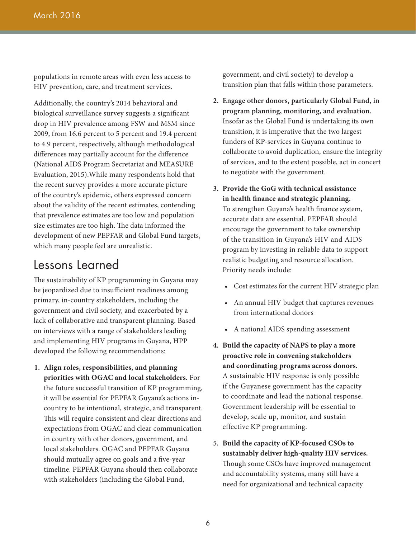populations in remote areas with even less access to HIV prevention, care, and treatment services.

Additionally, the country's 2014 behavioral and biological surveillance survey suggests a significant drop in HIV prevalence among FSW and MSM since 2009, from 16.6 percent to 5 percent and 19.4 percent to 4.9 percent, respectively, although methodological differences may partially account for the difference (National AIDS Program Secretariat and MEASURE Evaluation, 2015).While many respondents hold that the recent survey provides a more accurate picture of the country's epidemic, others expressed concern about the validity of the recent estimates, contending that prevalence estimates are too low and population size estimates are too high. The data informed the development of new PEPFAR and Global Fund targets, which many people feel are unrealistic.

### Lessons Learned

The sustainability of KP programming in Guyana may be jeopardized due to insufficient readiness among primary, in-country stakeholders, including the government and civil society, and exacerbated by a lack of collaborative and transparent planning. Based on interviews with a range of stakeholders leading and implementing HIV programs in Guyana, HPP developed the following recommendations:

**1. Align roles, responsibilities, and planning priorities with OGAC and local stakeholders.** For the future successful transition of KP programming, it will be essential for PEPFAR Guyana's actions incountry to be intentional, strategic, and transparent. This will require consistent and clear directions and expectations from OGAC and clear communication in country with other donors, government, and local stakeholders. OGAC and PEPFAR Guyana should mutually agree on goals and a five-year timeline. PEPFAR Guyana should then collaborate with stakeholders (including the Global Fund,

government, and civil society) to develop a transition plan that falls within those parameters.

- **2. Engage other donors, particularly Global Fund, in program planning, monitoring, and evaluation.**  Insofar as the Global Fund is undertaking its own transition, it is imperative that the two largest funders of KP-services in Guyana continue to collaborate to avoid duplication, ensure the integrity of services, and to the extent possible, act in concert to negotiate with the government.
- **3. Provide the GoG with technical assistance in health finance and strategic planning.**  To strengthen Guyana's health finance system, accurate data are essential. PEPFAR should encourage the government to take ownership of the transition in Guyana's HIV and AIDS program by investing in reliable data to support realistic budgeting and resource allocation. Priority needs include:
	- Cost estimates for the current HIV strategic plan
	- An annual HIV budget that captures revenues from international donors
	- A national AIDS spending assessment
- **4. Build the capacity of NAPS to play a more proactive role in convening stakeholders and coordinating programs across donors.**  A sustainable HIV response is only possible if the Guyanese government has the capacity to coordinate and lead the national response. Government leadership will be essential to develop, scale up, monitor, and sustain effective KP programming.
- **5. Build the capacity of KP-focused CSOs to sustainably deliver high-quality HIV services.**  Though some CSOs have improved management and accountability systems, many still have a need for organizational and technical capacity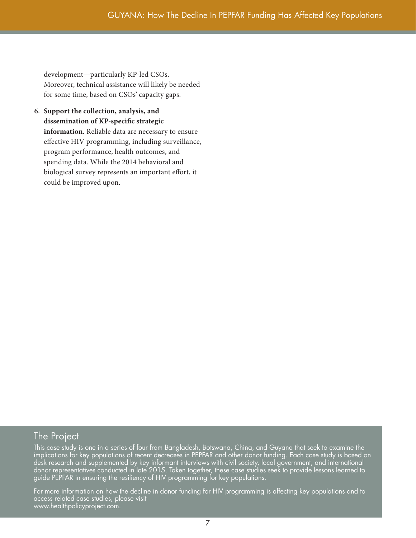development—particularly KP-led CSOs. Moreover, technical assistance will likely be needed for some time, based on CSOs' capacity gaps.

**6. Support the collection, analysis, and dissemination of KP-specific strategic information.** Reliable data are necessary to ensure effective HIV programming, including surveillance, program performance, health outcomes, and spending data. While the 2014 behavioral and biological survey represents an important effort, it could be improved upon.

#### The Project

This case study is one in a series of four from Bangladesh, Botswana, China, and Guyana that seek to examine the implications for key populations of recent decreases in PEPFAR and other donor funding. Each case study is based on desk research and supplemented by key informant interviews with civil society, local government, and international donor representatives conducted in late 2015. Taken together, these case studies seek to provide lessons learned to guide PEPFAR in ensuring the resiliency of HIV programming for key populations.

For more information on how the decline in donor funding for HIV programming is affecting key populations and to access related case studies, please visit www.healthpolicyproject.com.